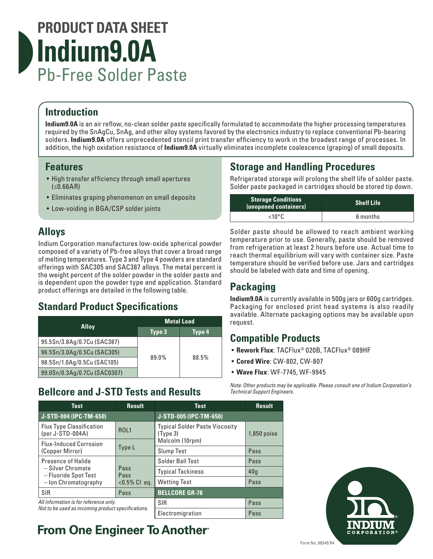# **PRODUCT DATA SHEET Indium9.0A** Pb-Free Solder Paste

# **Introduction**

**Indium9.0A** is an air reflow, no-clean solder paste specifically formulated to accommodate the higher processing temperatures required by the SnAgCu, SnAg, and other alloy systems favored by the electronics industry to replace conventional Pb-bearing solders. **Indium9.0A** offers unprecedented stencil print transfer efficiency to work in the broadest range of processes. In addition, the high oxidation resistance of **Indium9.0A** virtually eliminates incomplete coalescence (graping) of small deposits.

### **Features**

- High transfer efficiency through small apertures (≤0.66AR)
- Eliminates graping phenomenon on small deposits
- Low-voiding in BGA/CSP solder joints

## **Alloys**

Indium Corporation manufactures low-oxide spherical powder composed of a variety of Pb-free alloys that cover a broad range of melting temperatures. Type 3 and Type 4 powders are standard offerings with SAC305 and SAC387 alloys. The metal percent is the weight percent of the solder powder in the solder paste and is dependent upon the powder type and application. Standard product offerings are detailed in the following table.

## **Standard Product Specifications**

|                              | <b>Metal Load</b> |        |
|------------------------------|-------------------|--------|
| <b>Alloy</b>                 | Type 3            | Type 4 |
| 95.5Sn/3.8Ag/0.7Cu (SAC387)  |                   |        |
| 96.5Sn/3.0Ag/0.5Cu (SAC305)  |                   |        |
| 98.5Sn/1.0Ag/0.5Cu (SAC105)  | 89.0%<br>88.5%    |        |
| 99.0Sn/0.3Ag/0.7Cu (SAC0307) |                   |        |

## **Bellcore and J-STD Tests and Results**

# **Storage and Handling Procedures**

Refrigerated storage will prolong the shelf life of solder paste. Solder paste packaged in cartridges should be stored tip down.

| <b>Storage Conditions</b><br>(unopened containers) | <b>Shelf Life</b> |
|----------------------------------------------------|-------------------|
| ∠10°C                                              | 6 months          |

Solder paste should be allowed to reach ambient working temperature prior to use. Generally, paste should be removed from refrigeration at least 2 hours before use. Actual time to reach thermal equilibrium will vary with container size. Paste temperature should be verified before use. Jars and cartridges should be labeled with date and time of opening.

# **Packaging**

**Indium9.0A** is currently available in 500g jars or 600g cartridges. Packaging for enclosed print head systems is also readily available. Alternate packaging options may be available upon request.

## **Compatible Products**

- **Rework Flux**: TACFlux® 020B, TACFlux® 089HF
- **Cored Wire**: CW-802, CW-807
- **Wave Flux**: WF-7745, WF-9945

*Note: Other products may be applicable. Please consult one of Indium Corporation's Technical Support Engineers.*

| <b>Test</b>                                                                                                                 | <b>Result</b>       | <b>Test</b>                                       | <b>Result</b> |
|-----------------------------------------------------------------------------------------------------------------------------|---------------------|---------------------------------------------------|---------------|
| J-STD-004 (IPC-TM-650)                                                                                                      |                     | J-STD-005 (IPC-TM-650)                            |               |
| <b>Flux Type Classification</b><br>(per J-STD-004A)                                                                         | <b>ROL1</b>         | <b>Typical Solder Paste Viscosity</b><br>(Type 3) | $1,850$ poise |
| <b>Flux-Induced Corrosion</b>                                                                                               |                     | Malcolm (10rpm)                                   |               |
| Type L<br>(Copper Mirror)                                                                                                   |                     | <b>Slump Test</b>                                 | Pass          |
| Presence of Halide<br>- Silver Chromate<br>Pass<br>– Fluoride Spot Test<br>Pass<br>- Ion Chromatography<br>$< 0.5\%$ Cl eq. | Solder Ball Test    | Pass                                              |               |
|                                                                                                                             |                     | <b>Typical Tackiness</b>                          | 40q           |
|                                                                                                                             | <b>Wetting Test</b> | Pass                                              |               |
| SIR                                                                                                                         | Pass                | <b>BELLCORE GR-78</b>                             |               |
| All information is for reference only.<br>Not to be used as incoming product specifications.                                |                     | SIR<br>Pass                                       |               |
|                                                                                                                             |                     | Electromigration                                  | Pass          |



CORPORATION